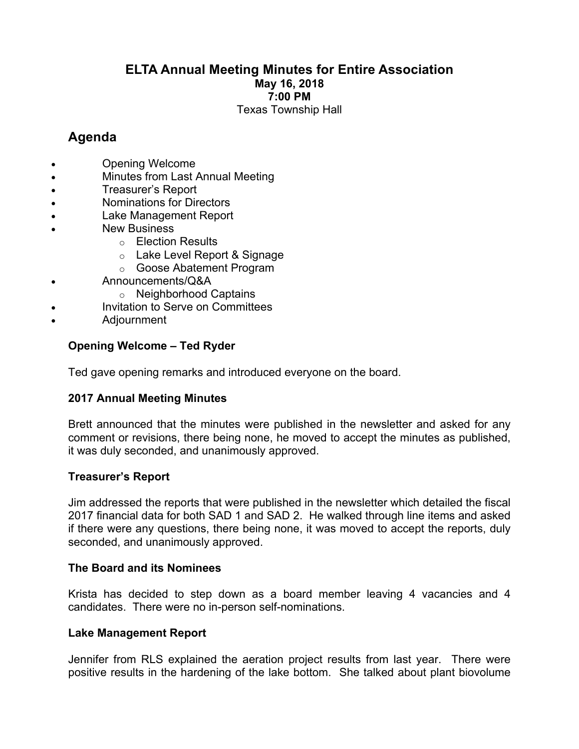## **ELTA Annual Meeting Minutes for Entire Association May 16, 2018 7:00 PM** Texas Township Hall

# **Agenda**

- Opening Welcome
- Minutes from Last Annual Meeting
- Treasurer's Report
- Nominations for Directors
- Lake Management Report
- **New Business** 
	- o Election Results
	- o Lake Level Report & Signage
	- o Goose Abatement Program
- Announcements/Q&A
	- o Neighborhood Captains
	- Invitation to Serve on Committees
- Adjournment

## **Opening Welcome – Ted Ryder**

Ted gave opening remarks and introduced everyone on the board.

## **2017 Annual Meeting Minutes**

Brett announced that the minutes were published in the newsletter and asked for any comment or revisions, there being none, he moved to accept the minutes as published, it was duly seconded, and unanimously approved.

## **Treasurer's Report**

Jim addressed the reports that were published in the newsletter which detailed the fiscal 2017 financial data for both SAD 1 and SAD 2. He walked through line items and asked if there were any questions, there being none, it was moved to accept the reports, duly seconded, and unanimously approved.

#### **The Board and its Nominees**

Krista has decided to step down as a board member leaving 4 vacancies and 4 candidates. There were no in-person self-nominations.

#### **Lake Management Report**

Jennifer from RLS explained the aeration project results from last year. There were positive results in the hardening of the lake bottom. She talked about plant biovolume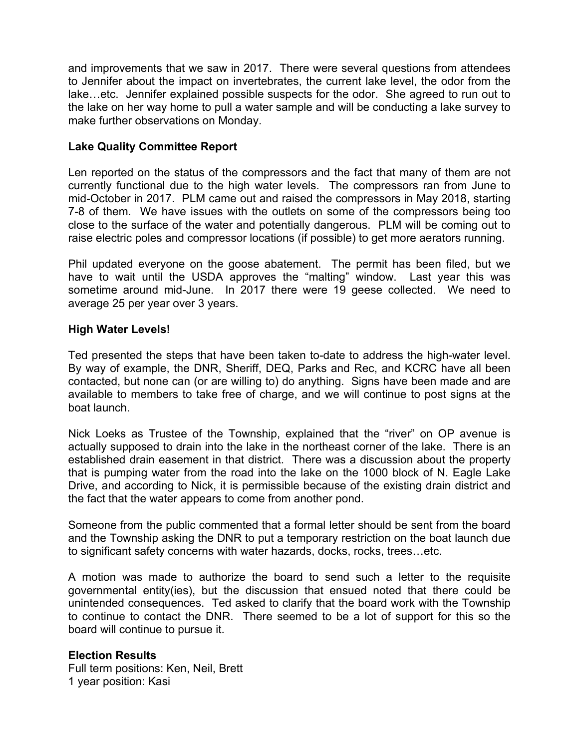and improvements that we saw in 2017. There were several questions from attendees to Jennifer about the impact on invertebrates, the current lake level, the odor from the lake…etc. Jennifer explained possible suspects for the odor. She agreed to run out to the lake on her way home to pull a water sample and will be conducting a lake survey to make further observations on Monday.

### **Lake Quality Committee Report**

Len reported on the status of the compressors and the fact that many of them are not currently functional due to the high water levels. The compressors ran from June to mid-October in 2017. PLM came out and raised the compressors in May 2018, starting 7-8 of them. We have issues with the outlets on some of the compressors being too close to the surface of the water and potentially dangerous. PLM will be coming out to raise electric poles and compressor locations (if possible) to get more aerators running.

Phil updated everyone on the goose abatement. The permit has been filed, but we have to wait until the USDA approves the "malting" window. Last year this was sometime around mid-June. In 2017 there were 19 geese collected. We need to average 25 per year over 3 years.

#### **High Water Levels!**

Ted presented the steps that have been taken to-date to address the high-water level. By way of example, the DNR, Sheriff, DEQ, Parks and Rec, and KCRC have all been contacted, but none can (or are willing to) do anything. Signs have been made and are available to members to take free of charge, and we will continue to post signs at the boat launch.

Nick Loeks as Trustee of the Township, explained that the "river" on OP avenue is actually supposed to drain into the lake in the northeast corner of the lake. There is an established drain easement in that district. There was a discussion about the property that is pumping water from the road into the lake on the 1000 block of N. Eagle Lake Drive, and according to Nick, it is permissible because of the existing drain district and the fact that the water appears to come from another pond.

Someone from the public commented that a formal letter should be sent from the board and the Township asking the DNR to put a temporary restriction on the boat launch due to significant safety concerns with water hazards, docks, rocks, trees…etc.

A motion was made to authorize the board to send such a letter to the requisite governmental entity(ies), but the discussion that ensued noted that there could be unintended consequences. Ted asked to clarify that the board work with the Township to continue to contact the DNR. There seemed to be a lot of support for this so the board will continue to pursue it.

#### **Election Results**

Full term positions: Ken, Neil, Brett 1 year position: Kasi